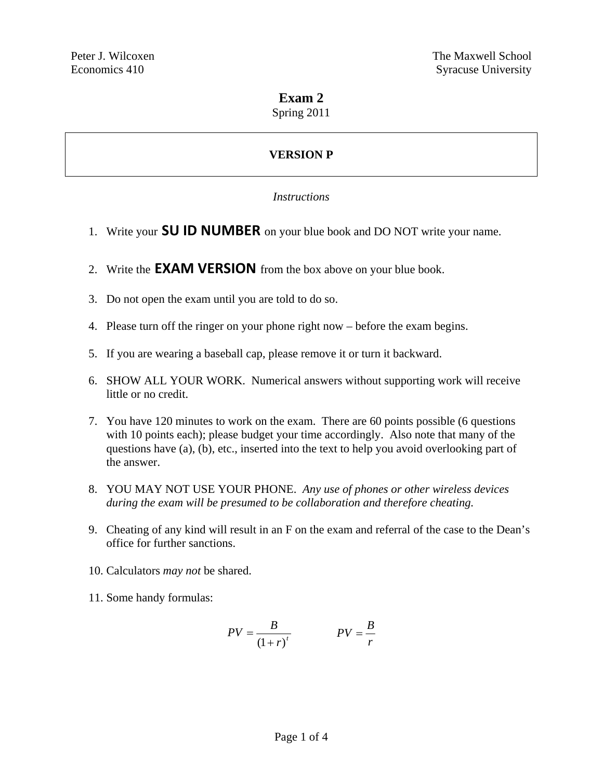# **Exam 2**

Spring 2011

# **VERSION P**

# *Instructions*

- 1. Write your **SU ID NUMBER** on your blue book and DO NOT write your name.
- 2. Write the **EXAM VERSION** from the box above on your blue book.
- 3. Do not open the exam until you are told to do so.
- 4. Please turn off the ringer on your phone right now before the exam begins.
- 5. If you are wearing a baseball cap, please remove it or turn it backward.
- 6. SHOW ALL YOUR WORK. Numerical answers without supporting work will receive little or no credit.
- 7. You have 120 minutes to work on the exam. There are 60 points possible (6 questions with 10 points each); please budget your time accordingly. Also note that many of the questions have (a), (b), etc., inserted into the text to help you avoid overlooking part of the answer.
- 8. YOU MAY NOT USE YOUR PHONE. *Any use of phones or other wireless devices during the exam will be presumed to be collaboration and therefore cheating.*
- 9. Cheating of any kind will result in an F on the exam and referral of the case to the Dean's office for further sanctions.
- 10. Calculators *may not* be shared.
- 11. Some handy formulas:

$$
PV = \frac{B}{(1+r)^t}
$$
 
$$
PV = \frac{B}{r}
$$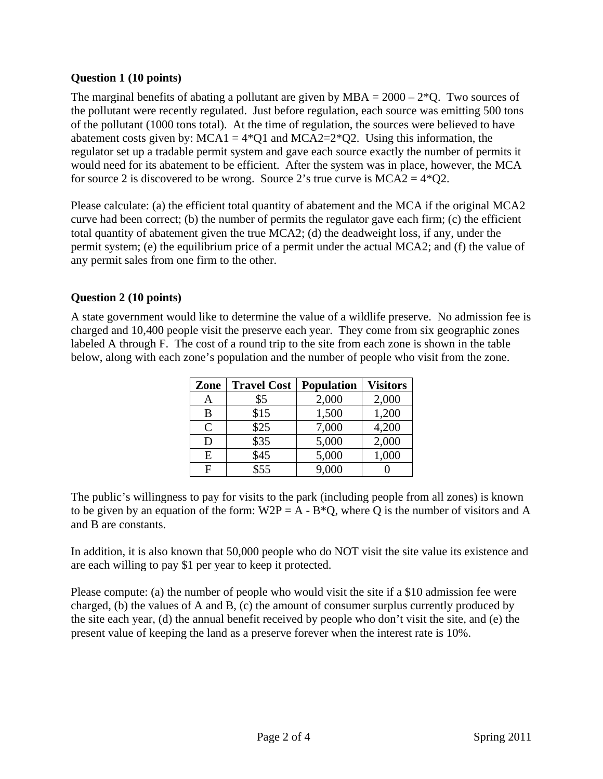#### **Question 1 (10 points)**

The marginal benefits of abating a pollutant are given by  $MBA = 2000 - 2^*Q$ . Two sources of the pollutant were recently regulated. Just before regulation, each source was emitting 500 tons of the pollutant (1000 tons total). At the time of regulation, the sources were believed to have abatement costs given by:  $MCA1 = 4*Q1$  and  $MCA2=2*Q2$ . Using this information, the regulator set up a tradable permit system and gave each source exactly the number of permits it would need for its abatement to be efficient. After the system was in place, however, the MCA for source 2 is discovered to be wrong. Source 2's true curve is  $MCA2 = 4*Q2$ .

Please calculate: (a) the efficient total quantity of abatement and the MCA if the original MCA2 curve had been correct; (b) the number of permits the regulator gave each firm; (c) the efficient total quantity of abatement given the true MCA2; (d) the deadweight loss, if any, under the permit system; (e) the equilibrium price of a permit under the actual MCA2; and (f) the value of any permit sales from one firm to the other.

# **Question 2 (10 points)**

A state government would like to determine the value of a wildlife preserve. No admission fee is charged and 10,400 people visit the preserve each year. They come from six geographic zones labeled A through F. The cost of a round trip to the site from each zone is shown in the table below, along with each zone's population and the number of people who visit from the zone.

| Zone           | <b>Travel Cost</b> | <b>Population</b> | <b>Visitors</b> |
|----------------|--------------------|-------------------|-----------------|
| A              | \$5                | 2,000             | 2,000           |
| B              | \$15               | 1,500             | 1,200           |
| $\mathcal{C}$  | \$25               | 7,000             | 4,200           |
| D              | \$35               | 5,000             | 2,000           |
| E              | \$45               | 5,000             | 1,000           |
| $\overline{F}$ | \$55               | 9,000             |                 |

The public's willingness to pay for visits to the park (including people from all zones) is known to be given by an equation of the form:  $W2P = A - B^*Q$ , where Q is the number of visitors and A and B are constants.

In addition, it is also known that 50,000 people who do NOT visit the site value its existence and are each willing to pay \$1 per year to keep it protected.

Please compute: (a) the number of people who would visit the site if a \$10 admission fee were charged, (b) the values of A and B, (c) the amount of consumer surplus currently produced by the site each year, (d) the annual benefit received by people who don't visit the site, and (e) the present value of keeping the land as a preserve forever when the interest rate is 10%.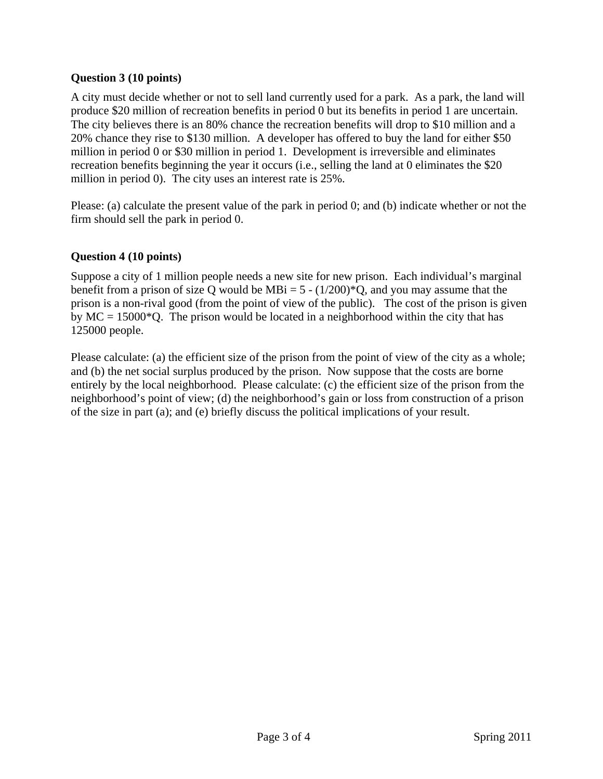#### **Question 3 (10 points)**

A city must decide whether or not to sell land currently used for a park. As a park, the land will produce \$20 million of recreation benefits in period 0 but its benefits in period 1 are uncertain. The city believes there is an 80% chance the recreation benefits will drop to \$10 million and a 20% chance they rise to \$130 million. A developer has offered to buy the land for either \$50 million in period 0 or \$30 million in period 1. Development is irreversible and eliminates recreation benefits beginning the year it occurs (i.e., selling the land at 0 eliminates the \$20 million in period 0). The city uses an interest rate is 25%.

Please: (a) calculate the present value of the park in period 0; and (b) indicate whether or not the firm should sell the park in period 0.

# **Question 4 (10 points)**

Suppose a city of 1 million people needs a new site for new prison. Each individual's marginal benefit from a prison of size Q would be MBi =  $5 - (1/200)^*Q$ , and you may assume that the prison is a non-rival good (from the point of view of the public). The cost of the prison is given by  $MC = 15000*Q$ . The prison would be located in a neighborhood within the city that has 125000 people.

Please calculate: (a) the efficient size of the prison from the point of view of the city as a whole; and (b) the net social surplus produced by the prison. Now suppose that the costs are borne entirely by the local neighborhood. Please calculate: (c) the efficient size of the prison from the neighborhood's point of view; (d) the neighborhood's gain or loss from construction of a prison of the size in part (a); and (e) briefly discuss the political implications of your result.